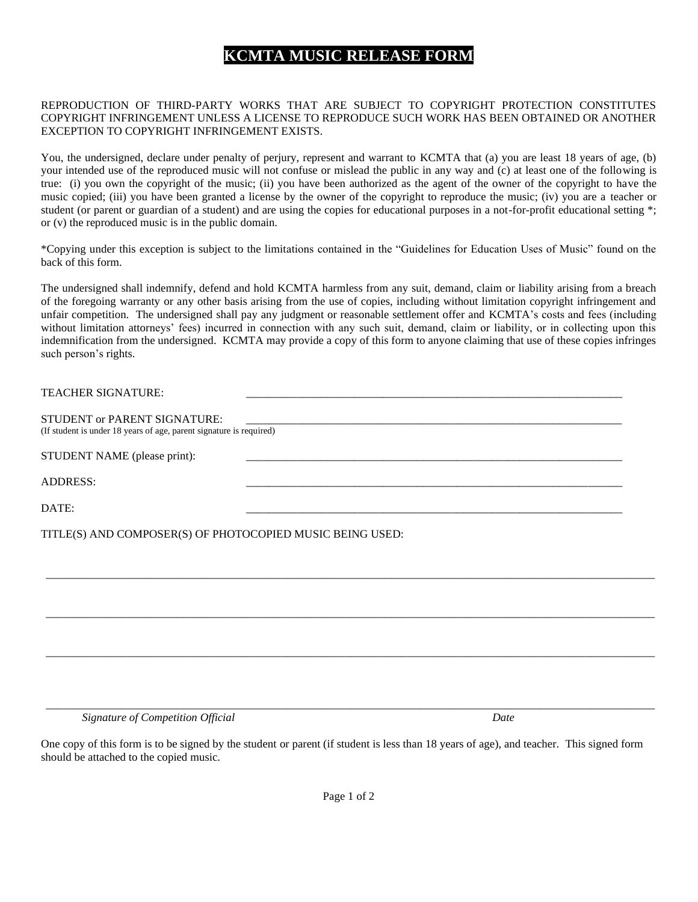# **KCMTA MUSIC RELEASE FORM**

#### REPRODUCTION OF THIRD-PARTY WORKS THAT ARE SUBJECT TO COPYRIGHT PROTECTION CONSTITUTES COPYRIGHT INFRINGEMENT UNLESS A LICENSE TO REPRODUCE SUCH WORK HAS BEEN OBTAINED OR ANOTHER EXCEPTION TO COPYRIGHT INFRINGEMENT EXISTS.

You, the undersigned, declare under penalty of perjury, represent and warrant to KCMTA that (a) you are least 18 years of age, (b) your intended use of the reproduced music will not confuse or mislead the public in any way and (c) at least one of the following is true: (i) you own the copyright of the music; (ii) you have been authorized as the agent of the owner of the copyright to have the music copied; (iii) you have been granted a license by the owner of the copyright to reproduce the music; (iv) you are a teacher or student (or parent or guardian of a student) and are using the copies for educational purposes in a not-for-profit educational setting \*; or (v) the reproduced music is in the public domain.

\*Copying under this exception is subject to the limitations contained in the "Guidelines for Education Uses of Music" found on the back of this form.

The undersigned shall indemnify, defend and hold KCMTA harmless from any suit, demand, claim or liability arising from a breach of the foregoing warranty or any other basis arising from the use of copies, including without limitation copyright infringement and unfair competition. The undersigned shall pay any judgment or reasonable settlement offer and KCMTA's costs and fees (including without limitation attorneys' fees) incurred in connection with any such suit, demand, claim or liability, or in collecting upon this indemnification from the undersigned. KCMTA may provide a copy of this form to anyone claiming that use of these copies infringes such person's rights.

| <b>TEACHER SIGNATURE:</b>                                                                                  |  |
|------------------------------------------------------------------------------------------------------------|--|
| <b>STUDENT or PARENT SIGNATURE:</b><br>(If student is under 18 years of age, parent signature is required) |  |
| STUDENT NAME (please print):                                                                               |  |
| <b>ADDRESS:</b>                                                                                            |  |
| DATE:                                                                                                      |  |
| TITLE(S) AND COMPOSER(S) OF PHOTOCOPIED MUSIC BEING USED:                                                  |  |

\_\_\_\_\_\_\_\_\_\_\_\_\_\_\_\_\_\_\_\_\_\_\_\_\_\_\_\_\_\_\_\_\_\_\_\_\_\_\_\_\_\_\_\_\_\_\_\_\_\_\_\_\_\_\_\_\_\_\_\_\_\_\_\_\_\_\_\_\_\_\_\_\_\_\_\_\_\_\_\_\_\_\_\_\_\_\_\_\_\_\_\_\_\_\_\_\_\_\_\_\_\_\_\_\_\_

\_\_\_\_\_\_\_\_\_\_\_\_\_\_\_\_\_\_\_\_\_\_\_\_\_\_\_\_\_\_\_\_\_\_\_\_\_\_\_\_\_\_\_\_\_\_\_\_\_\_\_\_\_\_\_\_\_\_\_\_\_\_\_\_\_\_\_\_\_\_\_\_\_\_\_\_\_\_\_\_\_\_\_\_\_\_\_\_\_\_\_\_\_\_\_\_\_\_\_\_\_\_\_\_\_\_

\_\_\_\_\_\_\_\_\_\_\_\_\_\_\_\_\_\_\_\_\_\_\_\_\_\_\_\_\_\_\_\_\_\_\_\_\_\_\_\_\_\_\_\_\_\_\_\_\_\_\_\_\_\_\_\_\_\_\_\_\_\_\_\_\_\_\_\_\_\_\_\_\_\_\_\_\_\_\_\_\_\_\_\_\_\_\_\_\_\_\_\_\_\_\_\_\_\_\_\_\_\_\_\_\_\_

\_\_\_\_\_\_\_\_\_\_\_\_\_\_\_\_\_\_\_\_\_\_\_\_\_\_\_\_\_\_\_\_\_\_\_\_\_\_\_\_\_\_\_\_\_\_\_\_\_\_\_\_\_\_\_\_\_\_\_\_\_\_\_\_\_\_\_\_\_\_\_\_\_\_\_\_\_\_\_\_\_\_\_\_\_\_\_\_\_\_\_\_\_\_\_\_\_\_\_\_\_\_\_\_\_\_

*Signature of Competition Official Date*

One copy of this form is to be signed by the student or parent (if student is less than 18 years of age), and teacher. This signed form should be attached to the copied music.